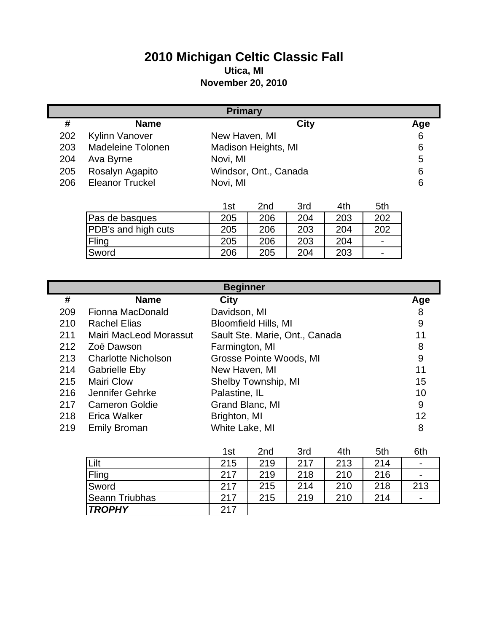## **2010 Michigan Celtic Classic Fall Utica, MI**

## **November 20, 2010**

| <b>Primary</b> |                        |                       |                 |             |     |     |     |
|----------------|------------------------|-----------------------|-----------------|-------------|-----|-----|-----|
| #              | <b>Name</b>            |                       |                 | <b>City</b> |     |     | Age |
| 202            | <b>Kylinn Vanover</b>  | New Haven, MI         |                 |             |     |     | 6   |
| 203            | Madeleine Tolonen      | Madison Heights, MI   |                 |             |     |     | 6   |
| 204            | Ava Byrne              | Novi, MI              |                 |             |     |     | 5   |
| 205            | Rosalyn Agapito        | Windsor, Ont., Canada |                 |             |     |     | 6   |
| 206            | <b>Eleanor Truckel</b> | Novi, MI              |                 |             |     |     | 6   |
|                |                        |                       |                 |             |     |     |     |
|                |                        | 1st                   | 2 <sub>nd</sub> | 3rd         | 4th | 5th |     |
|                | Pas de basques         | 205                   | 206             | 204         | 203 | 202 |     |
|                | PDB's and high cuts    | 205                   | 206             | 203         | 204 | 202 |     |
|                | Fling                  | 205                   | 206             | 203         | 204 |     |     |
|                | Sword                  | 206                   | 205             | 204         | 203 |     |     |

|     | <b>Beginner</b>            |                                |      |  |  |
|-----|----------------------------|--------------------------------|------|--|--|
| #   | <b>Name</b>                | <b>City</b>                    | Age  |  |  |
| 209 | Fionna MacDonald           | Davidson, MI                   | 8    |  |  |
| 210 | <b>Rachel Elias</b>        | <b>Bloomfield Hills, MI</b>    | 9    |  |  |
| 211 | Mairi MacLeod Morassut     | Sault Ste. Marie, Ont., Canada | $+1$ |  |  |
| 212 | Zoë Dawson                 | Farmington, MI                 | 8    |  |  |
| 213 | <b>Charlotte Nicholson</b> | Grosse Pointe Woods, MI        | 9    |  |  |
| 214 | <b>Gabrielle Eby</b>       | New Haven, MI                  | 11   |  |  |
| 215 | Mairi Clow                 | Shelby Township, MI            | 15   |  |  |
| 216 | Jennifer Gehrke            | Palastine, IL                  | 10   |  |  |
| 217 | <b>Cameron Goldie</b>      | Grand Blanc, MI                | 9    |  |  |
| 218 | Erica Walker               | Brighton, MI                   | 12   |  |  |
| 219 | <b>Emily Broman</b>        | White Lake, MI                 | 8    |  |  |

|                | 1st | 2 <sub>nd</sub> | 3rd | 4th | 5th | 6th                      |
|----------------|-----|-----------------|-----|-----|-----|--------------------------|
| Lilt           | 215 | 219             | 217 | 213 | 214 | $\blacksquare$           |
| Fling          | 217 | 219             | 218 | 210 | 216 | $\blacksquare$           |
| Sword          | 217 | 215             | 214 | 210 | 218 | 213                      |
| Seann Triubhas | 217 | 215             | 219 | 210 | 214 | $\overline{\phantom{0}}$ |
| <b>TROPHY</b>  | 217 |                 |     |     |     |                          |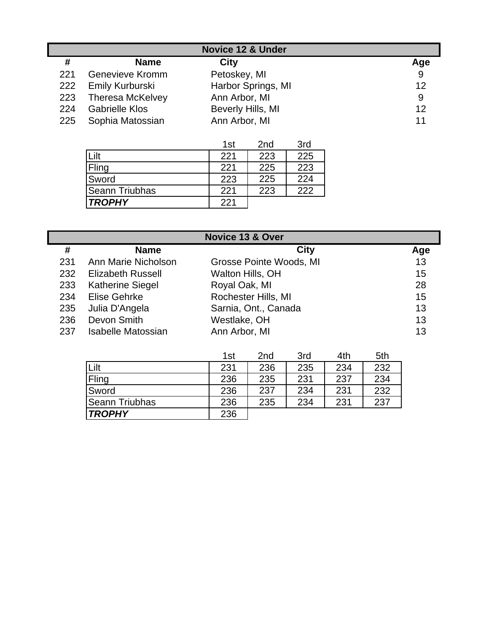| <b>Novice 12 &amp; Under</b> |                         |                    |     |  |
|------------------------------|-------------------------|--------------------|-----|--|
| #                            | <b>Name</b>             | City               | Age |  |
| 221                          | <b>Genevieve Kromm</b>  | Petoskey, MI       | 9   |  |
| 222                          | Emily Kurburski         | Harbor Springs, MI | 12  |  |
| 223                          | <b>Theresa McKelvey</b> | Ann Arbor, MI      | 9   |  |
| 224                          | <b>Gabrielle Klos</b>   | Beverly Hills, MI  | 12  |  |
| 225                          | Sophia Matossian        | Ann Arbor, MI      | 11  |  |

|                       | 1st | 2nd | 3rd |
|-----------------------|-----|-----|-----|
| Lilt                  | 221 | 223 | 225 |
| Fling                 | 221 | 225 | 223 |
| Sword                 | 223 | 225 | 224 |
| <b>Seann Triubhas</b> | 221 | 223 | 222 |
| <b>TROPHY</b>         | 221 |     |     |

|     | Novice 13 & Over          |                         |     |  |  |  |
|-----|---------------------------|-------------------------|-----|--|--|--|
| #   | <b>Name</b>               | City                    | Age |  |  |  |
| 231 | Ann Marie Nicholson       | Grosse Pointe Woods, MI | 13  |  |  |  |
| 232 | <b>Elizabeth Russell</b>  | Walton Hills, OH        | 15  |  |  |  |
| 233 | <b>Katherine Siegel</b>   | Royal Oak, MI           | 28  |  |  |  |
| 234 | Elise Gehrke              | Rochester Hills, MI     | 15  |  |  |  |
| 235 | Julia D'Angela            | Sarnia, Ont., Canada    | 13  |  |  |  |
| 236 | Devon Smith               | Westlake, OH            | 13  |  |  |  |
| 237 | <b>Isabelle Matossian</b> | Ann Arbor, MI           | 13  |  |  |  |

|                       | 1st | 2 <sub>nd</sub> | 3rd | 4th | 5th |
|-----------------------|-----|-----------------|-----|-----|-----|
| Lilt                  | 231 | 236             | 235 | 234 | 232 |
| Fling                 | 236 | 235             | 231 | 237 | 234 |
| Sword                 | 236 | 237             | 234 | 231 | 232 |
| <b>Seann Triubhas</b> | 236 | 235             | 234 | 231 | 237 |
| <b>TROPHY</b>         | 236 |                 |     |     |     |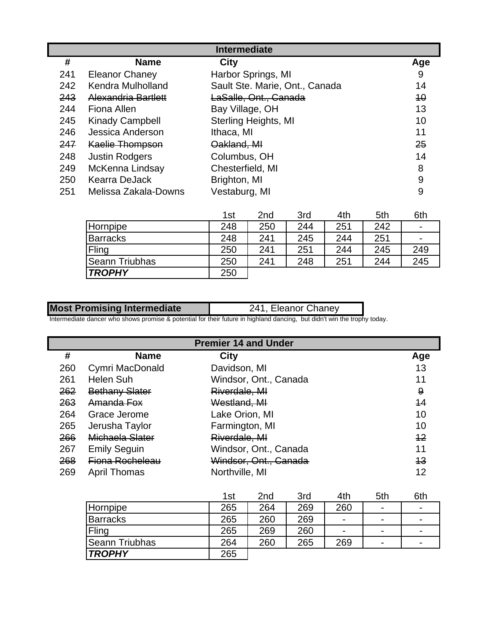|     | <b>Intermediate</b>    |                                |     |  |  |  |
|-----|------------------------|--------------------------------|-----|--|--|--|
| #   | <b>Name</b>            | City                           | Age |  |  |  |
| 241 | <b>Eleanor Chaney</b>  | Harbor Springs, MI             | 9   |  |  |  |
| 242 | Kendra Mulholland      | Sault Ste. Marie, Ont., Canada | 14  |  |  |  |
| 243 | Alexandria Bartlett    | LaSalle, Ont., Canada          | 40  |  |  |  |
| 244 | Fiona Allen            | Bay Village, OH                | 13  |  |  |  |
| 245 | <b>Kinady Campbell</b> | Sterling Heights, MI           | 10  |  |  |  |
| 246 | Jessica Anderson       | Ithaca, MI                     | 11  |  |  |  |
| 247 | <b>Kaelie Thompson</b> | Oakland, MI                    | 25  |  |  |  |
| 248 | <b>Justin Rodgers</b>  | Columbus, OH                   | 14  |  |  |  |
| 249 | McKenna Lindsay        | Chesterfield, MI               | 8   |  |  |  |
| 250 | <b>Kearra DeJack</b>   | Brighton, MI                   | 9   |  |  |  |
| 251 | Melissa Zakala-Downs   | Vestaburg, MI                  | 9   |  |  |  |

|                       | 1st | 2 <sub>nd</sub> | 3rd | 4th | 5th | 6th            |
|-----------------------|-----|-----------------|-----|-----|-----|----------------|
| Hornpipe              | 248 | 250             | 244 | 251 | 242 | $\blacksquare$ |
| Barracks              | 248 | 241             | 245 | 244 | 251 | $\blacksquare$ |
| Fling                 | 250 | 241             | 251 | 244 | 245 | 249            |
| <b>Seann Triubhas</b> | 250 | 241             | 248 | 251 | 244 | 245            |
| <b>TROPHY</b>         | 250 |                 |     |     |     |                |

| <b>Most Promising Intermediate</b> | 241, Eleanor Chaney |
|------------------------------------|---------------------|

Intermediate dancer who shows promise & potential for their future in highland dancing, but didn't win the trophy today.

|     | <b>Premier 14 and Under</b> |                       |     |  |  |
|-----|-----------------------------|-----------------------|-----|--|--|
| #   | <b>Name</b>                 | <b>City</b>           | Age |  |  |
| 260 | Cymri MacDonald             | Davidson, MI          | 13  |  |  |
| 261 | <b>Helen Suh</b>            | Windsor, Ont., Canada | 11  |  |  |
| 262 | <b>Bethany Slater</b>       | Riverdale, MI         | 9   |  |  |
| 263 | Amanda Fox                  | Westland, MI          | 44  |  |  |
| 264 | Grace Jerome                | Lake Orion, MI        | 10  |  |  |
| 265 | Jerusha Taylor              | Farmington, MI        | 10  |  |  |
| 266 | Michaela Slater             | Riverdale, MI         | 12  |  |  |
| 267 | <b>Emily Seguin</b>         | Windsor, Ont., Canada | 11  |  |  |
| 268 | Fiona Rocheleau             | Windsor, Ont., Canada | 13  |  |  |
| 269 | <b>April Thomas</b>         | Northville, MI        | 12  |  |  |

|                 | 1st | 2 <sub>nd</sub> | 3rd | 4th            | 5th                      | 6th                      |
|-----------------|-----|-----------------|-----|----------------|--------------------------|--------------------------|
| Hornpipe        | 265 | 264             | 269 | 260            | $\overline{\phantom{0}}$ | $\overline{\phantom{0}}$ |
| <b>Barracks</b> | 265 | 260             | 269 | $\blacksquare$ | $\overline{\phantom{0}}$ | $\blacksquare$           |
| Fling           | 265 | 269             | 260 | $\blacksquare$ | $\overline{\phantom{0}}$ | $\overline{\phantom{0}}$ |
| Seann Triubhas  | 264 | 260             | 265 | 269            | $\overline{\phantom{0}}$ | $\overline{\phantom{0}}$ |
| <b>TROPHY</b>   | 265 |                 |     |                |                          |                          |